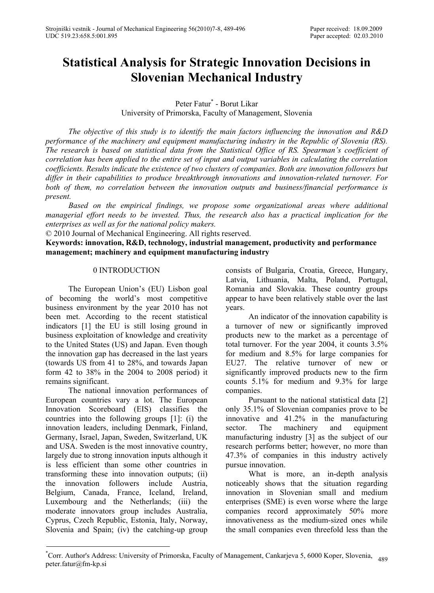# **Statistical Analysis for Strategic Innovation Decisions in Slovenian Mechanical Industry**

Peter Fatur\* - Borut Likar University of Primorska, Faculty of Management, Slovenia

*The objective of this study is to identify the main factors influencing the innovation and R&D performance of the machinery and equipment manufacturing industry in the Republic of Slovenia (RS). The research is based on statistical data from the Statistical Office of RS. Spearman's coefficient of correlation has been applied to the entire set of input and output variables in calculating the correlation coefficients. Results indicate the existence of two clusters of companies. Both are innovation followers but differ in their capabilities to produce breakthrough innovations and innovation-related turnover. For both of them, no correlation between the innovation outputs and business/financial performance is present.* 

*Based on the empirical findings, we propose some organizational areas where additional managerial effort needs to be invested. Thus, the research also has a practical implication for the enterprises as well as for the national policy makers.* 

© 2010 Journal of Mechanical Engineering. All rights reserved.

**Keywords: innovation, R&D, technology, industrial management, productivity and performance management; machinery and equipment manufacturing industry**

#### 0 INTRODUCTION

The European Union's (EU) Lisbon goal of becoming the world's most competitive business environment by the year 2010 has not been met. According to the recent statistical indicators [1] the EU is still losing ground in business exploitation of knowledge and creativity to the United States (US) and Japan. Even though the innovation gap has decreased in the last years (towards US from 41 to 28%, and towards Japan form 42 to 38% in the 2004 to 2008 period) it remains significant.

The national innovation performances of European countries vary a lot. The European Innovation Scoreboard (EIS) classifies the countries into the following groups [1]: (i) the innovation leaders, including Denmark, Finland, Germany, Israel, Japan, Sweden, Switzerland, UK and USA. Sweden is the most innovative country, largely due to strong innovation inputs although it is less efficient than some other countries in transforming these into innovation outputs; (ii) the innovation followers include Austria, Belgium, Canada, France, Iceland, Ireland, Luxembourg and the Netherlands; (iii) the moderate innovators group includes Australia, Cyprus, Czech Republic, Estonia, Italy, Norway, Slovenia and Spain; (iv) the catching-up group

consists of Bulgaria, Croatia, Greece, Hungary, Latvia, Lithuania, Malta, Poland, Portugal, Romania and Slovakia. These country groups appear to have been relatively stable over the last years.

An indicator of the innovation capability is a turnover of new or significantly improved products new to the market as a percentage of total turnover. For the year 2004, it counts 3.5% for medium and 8.5% for large companies for EU27. The relative turnover of new or significantly improved products new to the firm counts 5.1% for medium and 9.3% for large companies.

Pursuant to the national statistical data [2] only 35.1% of Slovenian companies prove to be innovative and 41.2% in the manufacturing sector. The machinery and equipment manufacturing industry [3] as the subject of our research performs better; however, no more than 47.3% of companies in this industry actively pursue innovation.

What is more, an in-depth analysis noticeably shows that the situation regarding innovation in Slovenian small and medium enterprises (SME) is even worse where the large companies record approximately 50% more innovativeness as the medium-sized ones while the small companies even threefold less than the

<sup>\*</sup>Corr. Author's Address: University of Primorska, Faculty of Management, Cankarjeva 5, 6000 Koper, Slovenia, 489<br>peter.fatur@fm-kp.si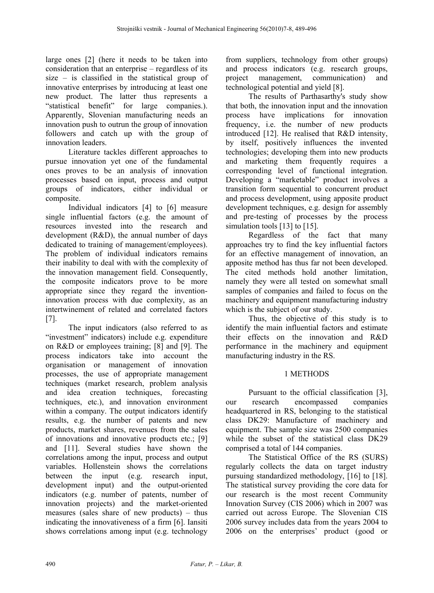large ones [2] (here it needs to be taken into consideration that an enterprise – regardless of its size – is classified in the statistical group of innovative enterprises by introducing at least one new product. The latter thus represents a "statistical benefit" for large companies.). Apparently, Slovenian manufacturing needs an innovation push to outrun the group of innovation followers and catch up with the group of innovation leaders.

Literature tackles different approaches to pursue innovation yet one of the fundamental ones proves to be an analysis of innovation processes based on input, process and output groups of indicators, either individual or composite.

Individual indicators [4] to [6] measure single influential factors (e.g. the amount of resources invested into the research and development (R&D), the annual number of days dedicated to training of management/employees). The problem of individual indicators remains their inability to deal with with the complexity of the innovation management field. Consequently, the composite indicators prove to be more appropriate since they regard the inventioninnovation process with due complexity, as an intertwinement of related and correlated factors [7].

The input indicators (also referred to as "investment" indicators) include e.g. expenditure on R&D or employees training; [8] and [9]. The process indicators take into account the organisation or management of innovation processes, the use of appropriate management techniques (market research, problem analysis and idea creation techniques, forecasting techniques, etc.), and innovation environment within a company. The output indicators identify results, e.g. the number of patents and new products, market shares, revenues from the sales of innovations and innovative products etc.; [9] and [11]. Several studies have shown the correlations among the input, process and output variables. Hollenstein shows the correlations between the input (e.g. research input, development input) and the output-oriented indicators (e.g. number of patents, number of innovation projects) and the market-oriented measures (sales share of new products) – thus indicating the innovativeness of a firm [6]. Iansiti shows correlations among input (e.g. technology

from suppliers, technology from other groups) and process indicators (e.g. research groups, project management, communication) and technological potential and yield [8].

The results of Parthasarthy's study show that both, the innovation input and the innovation process have implications for innovation frequency, i.e. the number of new products introduced [12]. He realised that R&D intensity, by itself, positively influences the invented technologies; developing them into new products and marketing them frequently requires a corresponding level of functional integration. Developing a "marketable" product involves a transition form sequential to concurrent product and process development, using apposite product development techniques, e.g. design for assembly and pre-testing of processes by the process simulation tools [13] to [15].

Regardless of the fact that many approaches try to find the key influential factors for an effective management of innovation, an apposite method has thus far not been developed. The cited methods hold another limitation, namely they were all tested on somewhat small samples of companies and failed to focus on the machinery and equipment manufacturing industry which is the subject of our study.

Thus, the objective of this study is to identify the main influential factors and estimate their effects on the innovation and R&D performance in the machinery and equipment manufacturing industry in the RS.

# 1 METHODS

Pursuant to the official classification [3], our research encompassed companies headquartered in RS, belonging to the statistical class DK29: Manufacture of machinery and equipment. The sample size was 2500 companies while the subset of the statistical class DK29 comprised a total of 144 companies.

The Statistical Office of the RS (SURS) regularly collects the data on target industry pursuing standardized methodology, [16] to [18]. The statistical survey providing the core data for our research is the most recent Community Innovation Survey (CIS 2006) which in 2007 was carried out across Europe. The Slovenian CIS 2006 survey includes data from the years 2004 to 2006 on the enterprises' product (good or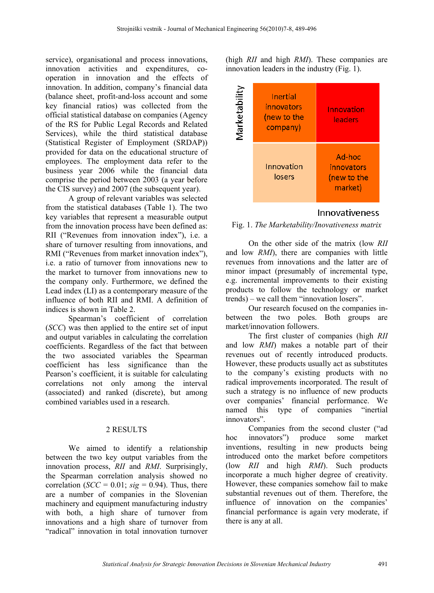service), organisational and process innovations, innovation activities and expenditures, cooperation in innovation and the effects of innovation. In addition, company's financial data (balance sheet, profit-and-loss account and some key financial ratios) was collected from the official statistical database on companies (Agency of the RS for Public Legal Records and Related Services), while the third statistical database (Statistical Register of Employment (SRDAP)) provided for data on the educational structure of employees. The employment data refer to the business year 2006 while the financial data comprise the period between 2003 (a year before the CIS survey) and 2007 (the subsequent year).

A group of relevant variables was selected from the statistical databases (Table 1). The two key variables that represent a measurable output from the innovation process have been defined as: RII ("Revenues from innovation index"), i.e. a. share of turnover resulting from innovations, and RMI ("Revenues from market innovation index"), i.e. a ratio of turnover from innovations new to the market to turnover from innovations new to the company only. Furthermore, we defined the Lead index (LI) as a contemporary measure of the influence of both RII and RMI. A definition of indices is shown in Table 2.

Spearman's coefficient of correlation (*SCC*) was then applied to the entire set of input and output variables in calculating the correlation coefficients. Regardless of the fact that between the two associated variables the Spearman coefficient has less significance than the Pearson's coefficient, it is suitable for calculating correlations not only among the interval (associated) and ranked (discrete), but among combined variables used in a research.

#### 2 RESULTS

We aimed to identify a relationship between the two key output variables from the innovation process, *RII* and *RMI*. Surprisingly, the Spearman correlation analysis showed no correlation (*SCC* = 0.01; *sig* = 0.94). Thus, there are a number of companies in the Slovenian machinery and equipment manufacturing industry with both, a high share of turnover from innovations and a high share of turnover from "radical" innovation in total innovation turnover

(high *RII* and high *RMI*). These companies are innovation leaders in the industry (Fig. 1).

| Marketability | Inertial<br>innovators<br>(new to the<br>company) | Innovation<br>leaders                          |
|---------------|---------------------------------------------------|------------------------------------------------|
|               | Innovation<br>losers                              | Ad-hoc<br>innovators<br>(new to the<br>market) |

## **Innovativeness**



On the other side of the matrix (low *RII* and low *RMI*), there are companies with little revenues from innovations and the latter are of minor impact (presumably of incremental type, e.g. incremental improvements to their existing products to follow the technology or market trends) – we call them "innovation losers".

Our research focused on the companies inbetween the two poles. Both groups are market/innovation followers.

The first cluster of companies (high *RII* and low *RMI*) makes a notable part of their revenues out of recently introduced products. However, these products usually act as substitutes to the company's existing products with no radical improvements incorporated. The result of such a strategy is no influence of new products over companies' financial performance. We named this type of companies "inertial innovators".

Companies from the second cluster ("ad hoc innovators") produce some market inventions, resulting in new products being introduced onto the market before competitors (low *RII* and high *RMI*). Such products incorporate a much higher degree of creativity. However, these companies somehow fail to make substantial revenues out of them. Therefore, the influence of innovation on the companies' financial performance is again very moderate, if there is any at all.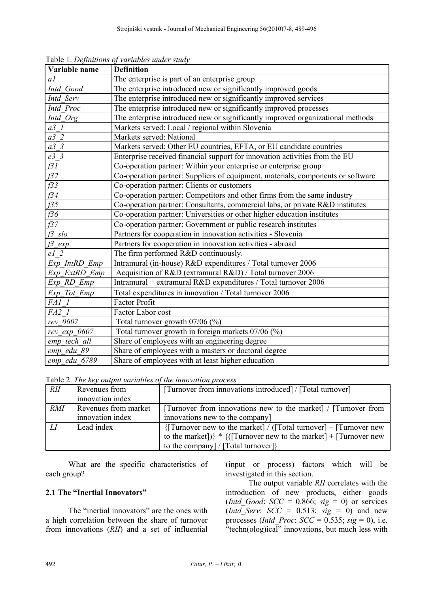| Variable name    | <b>Definition</b>                                                               |  |
|------------------|---------------------------------------------------------------------------------|--|
| a1               | The enterprise is part of an enterprise group                                   |  |
| Intd Good        | The enterprise introduced new or significantly improved goods                   |  |
| Intd Serv        | The enterprise introduced new or significantly improved services                |  |
| Intd Proc        | The enterprise introduced new or significantly improved processes               |  |
| Intd Org         | The enterprise introduced new or significantly improved organizational methods  |  |
| $a3$ 1           | Markets served: Local / regional within Slovenia                                |  |
| a32              | Markets served: National                                                        |  |
| $a\overline{3}3$ | Markets served: Other EU countries, EFTA, or EU candidate countries             |  |
| e3 3             | Enterprise received financial support for innovation activities from the EU     |  |
| f31              | Co-operation partner: Within your enterprise or enterprise group                |  |
| f32              | Co-operation partner: Suppliers of equipment, materials, components or software |  |
| $\overline{f33}$ | Co-operation partner: Clients or customers                                      |  |
| f34              | Co-operation partner: Competitors and other firms from the same industry        |  |
| f35              | Co-operation partner: Consultants, commercial labs, or private R&D institutes   |  |
| f36              | Co-operation partner: Universities or other higher education institutes         |  |
| f37              | Co-operation partner: Government or public research institutes                  |  |
| $f3$ slo         | Partners for cooperation in innovation activities - Slovenia                    |  |
| $f3$ exp         | Partners for cooperation in innovation activities - abroad                      |  |
| $el$ 2           | The firm performed R&D continuously.                                            |  |
| Exp IntRD Emp    | Intramural (in-house) R&D expenditures / Total turnover 2006                    |  |
| Exp ExtRD Emp    | Acquisition of R&D (extramural R&D) / Total turnover 2006                       |  |
| Exp RD Emp       | Intramural + extramural R&D expenditures / Total turnover 2006                  |  |
| Exp Tot Emp      | Total expenditures in innovation / Total turnover 2006                          |  |
| FAI 1            | Factor Profit                                                                   |  |
| FA2 1            | Factor Labor cost                                                               |  |
| rev 0607         | Total turnover growth 07/06 (%)                                                 |  |
| rev exp $0607$   | Total turnover growth in foreign markets 07/06 (%)                              |  |
| emp tech all     | Share of employees with an engineering degree                                   |  |
| emp edu 89       | Share of employees with a masters or doctoral degree                            |  |
| emp edu 6789     | Share of employees with at least higher education                               |  |

Table 1. *Definitions of variables under study* 

Table 2. *The key output variables of the innovation process*

| RII | Revenues from        | [Turnover from innovations introduced] / [Total turnover]            |
|-----|----------------------|----------------------------------------------------------------------|
|     | innovation index     |                                                                      |
| RMI | Revenues from market | [Turnover from innovations new to the market] / [Turnover from       |
|     | innovation index     | innovations new to the company                                       |
| LI  | Lead index           | ${Turnover new to the market} / {Total turnover} - {Turnover new}$   |
|     |                      | to the market])} * $\{([Turnover new to the market] + [Turnover new$ |
|     |                      | to the company] / [Total turnover]}                                  |

What are the specific characteristics of each group?

## **2.1 The "Inertial Innovators"**

The "inertial innovators" are the ones with a high correlation between the share of turnover from innovations (*RII*) and a set of influential (input or process) factors which will be investigated in this section.

The output variable *RII* correlates with the introduction of new products, either goods  $(Intd_Good: SCC = 0.866; sig = 0)$  or services (*Intd Serv*:  $SCC = 0.513$ ;  $sig = 0$ ) and new processes (*Intd. Proc*:  $SCC = 0.535$ ;  $sig = 0$ ), i.e. "techn(olog)ical" innovations, but much less with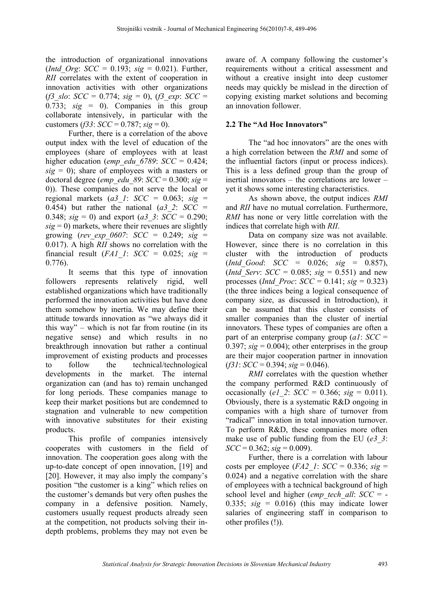the introduction of organizational innovations (*Intd\_Org*: *SCC* = 0.193; *sig* = 0.021). Further, *RII* correlates with the extent of cooperation in innovation activities with other organizations (*f3\_slo*:  $SCC = 0.774$ ;  $sig = 0$ ), (*f3\_exp*:  $SCC =$  $0.733$ ;  $sig = 0$ ). Companies in this group collaborate intensively, in particular with the customers (*f33*:  $SCC = 0.787$ ; *sig* = 0).

Further, there is a correlation of the above output index with the level of education of the employees (share of employees with at least higher education (*emp\_edu\_6789*: *SCC* = 0.424;  $sig = 0$ ); share of employees with a masters or doctoral degree (*emp\_edu\_89*:  $SCC = 0.300$ ; *sig =* 0)). These companies do not serve the local or regional markets (*a3\_1*: *SCC* = 0.063; *sig* = 0.454) but rather the national ( $a3$   $2$ : *SCC* = 0.348;  $sig = 0$ ) and export (*a3* 3: *SCC* = 0.290;  $sig = 0$ ) markets, where their revenues are slightly growing (*rev\_exp\_0607*: *SCC* = 0.249; *sig* = 0.017). A high *RII* shows no correlation with the financial result (*FA1\_1*: *SCC* = 0.025; *sig* = 0.776).

It seems that this type of innovation followers represents relatively rigid, well established organizations which have traditionally performed the innovation activities but have done them somehow by inertia. We may define their attitude towards innovation as "we always did it this way" – which is not far from routine (in its negative sense) and which results in no breakthrough innovation but rather a continual improvement of existing products and processes to follow the technical/technological developments in the market. The internal organization can (and has to) remain unchanged for long periods. These companies manage to keep their market positions but are condemned to stagnation and vulnerable to new competition with innovative substitutes for their existing products.

This profile of companies intensively cooperates with customers in the field of innovation. The cooperation goes along with the up-to-date concept of open innovation, [19] and [20]. However, it may also imply the company's position "the customer is a king" which relies on the customer's demands but very often pushes the company in a defensive position. Namely, customers usually request products already seen at the competition, not products solving their indepth problems, problems they may not even be

aware of. A company following the customer's requirements without a critical assessment and without a creative insight into deep customer needs may quickly be mislead in the direction of copying existing market solutions and becoming an innovation follower.

# **2.2 The "Ad Hoc Innovators"**

The "ad hoc innovators" are the ones with a high correlation between the *RMI* and some of the influential factors (input or process indices). This is a less defined group than the group of inertial innovators – the correlations are lower – yet it shows some interesting characteristics.

As shown above, the output indices *RMI* and *RII* have no mutual correlation. Furthermore, *RMI* has none or very little correlation with the indices that correlate high with *RII*.

Data on company size was not available. However, since there is no correlation in this cluster with the introduction of products (*Intd\_Good*: *SCC* = 0.026; *sig* = 0.857), (*Intd Serv*: *SCC* = 0.085; *sig* = 0.551) and new processes (*Intd\_Proc*:  $SCC = 0.141$ ; *sig* = 0.323) (the three indices being a logical consequence of company size, as discussed in Introduction), it can be assumed that this cluster consists of smaller companies than the cluster of inertial innovators. These types of companies are often a part of an enterprise company group (*a1*: *SCC* = 0.397;  $sig = 0.004$ ); other enterprises in the group are their major cooperation partner in innovation  $(f31:SCC = 0.394; sig = 0.046).$ 

*RMI* correlates with the question whether the company performed R&D continuously of occasionally (*e1* 2: *SCC* = 0.366; *sig* = 0.011). Obviously, there is a systematic R&D ongoing in companies with a high share of turnover from "radical" innovation in total innovation turnover. To perform R&D, these companies more often make use of public funding from the EU (*e3\_3*:  $SCC = 0.362$ ; *sig* = 0.009).

Further, there is a correlation with labour costs per employee (*FA2\_1*:  $SCC = 0.336$ ; *sig* = 0.024) and a negative correlation with the share of employees with a technical background of high school level and higher (*emp\_tech\_all*: *SCC* = - 0.335;  $sig = 0.016$ ) (this may indicate lower salaries of engineering staff in comparison to other profiles (!)).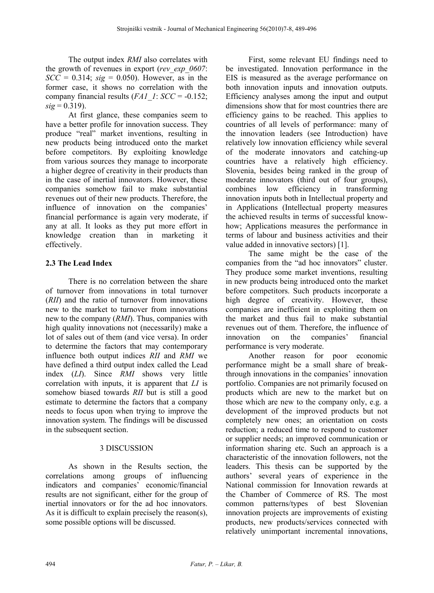The output index *RMI* also correlates with the growth of revenues in export (*rev\_exp\_0607*: *SCC* = 0.314; *sig* = 0.050). However, as in the former case, it shows no correlation with the company financial results  $(FAI \tI: SCC = -0.152)$ ;  $sig = 0.319$ ).

At first glance, these companies seem to have a better profile for innovation success. They produce "real" market inventions, resulting in new products being introduced onto the market before competitors. By exploiting knowledge from various sources they manage to incorporate a higher degree of creativity in their products than in the case of inertial innovators. However, these companies somehow fail to make substantial revenues out of their new products. Therefore, the influence of innovation on the companies' financial performance is again very moderate, if any at all. It looks as they put more effort in knowledge creation than in marketing it effectively.

## **2.3 The Lead Index**

There is no correlation between the share of turnover from innovations in total turnover (*RII*) and the ratio of turnover from innovations new to the market to turnover from innovations new to the company (*RMI*). Thus, companies with high quality innovations not (necessarily) make a lot of sales out of them (and vice versa). In order to determine the factors that may contemporary influence both output indices *RII* and *RMI* we have defined a third output index called the Lead index (*LI*). Since *RMI* shows very little correlation with inputs, it is apparent that *LI* is somehow biased towards *RII* but is still a good estimate to determine the factors that a company needs to focus upon when trying to improve the innovation system. The findings will be discussed in the subsequent section.

## 3 DISCUSSION

As shown in the Results section, the correlations among groups of influencing indicators and companies' economic/financial results are not significant, either for the group of inertial innovators or for the ad hoc innovators. As it is difficult to explain precisely the reason(s), some possible options will be discussed.

First, some relevant EU findings need to be investigated. Innovation performance in the EIS is measured as the average performance on both innovation inputs and innovation outputs. Efficiency analyses among the input and output dimensions show that for most countries there are efficiency gains to be reached. This applies to countries of all levels of performance: many of the innovation leaders (see Introduction) have relatively low innovation efficiency while several of the moderate innovators and catching-up countries have a relatively high efficiency. Slovenia, besides being ranked in the group of moderate innovators (third out of four groups), combines low efficiency in transforming innovation inputs both in Intellectual property and in Applications (Intellectual property measures the achieved results in terms of successful knowhow; Applications measures the performance in terms of labour and business activities and their value added in innovative sectors) [1].

The same might be the case of the companies from the "ad hoc innovators" cluster. They produce some market inventions, resulting in new products being introduced onto the market before competitors. Such products incorporate a high degree of creativity. However, these companies are inefficient in exploiting them on the market and thus fail to make substantial revenues out of them. Therefore, the influence of innovation on the companies' financial performance is very moderate.

Another reason for poor economic performance might be a small share of breakthrough innovations in the companies' innovation portfolio. Companies are not primarily focused on products which are new to the market but on those which are new to the company only, e.g. a development of the improved products but not completely new ones; an orientation on costs reduction; a reduced time to respond to customer or supplier needs; an improved communication or information sharing etc. Such an approach is a characteristic of the innovation followers, not the leaders. This thesis can be supported by the authors' several years of experience in the National commission for Innovation rewards at the Chamber of Commerce of RS. The most common patterns/types of best Slovenian innovation projects are improvements of existing products, new products/services connected with relatively unimportant incremental innovations,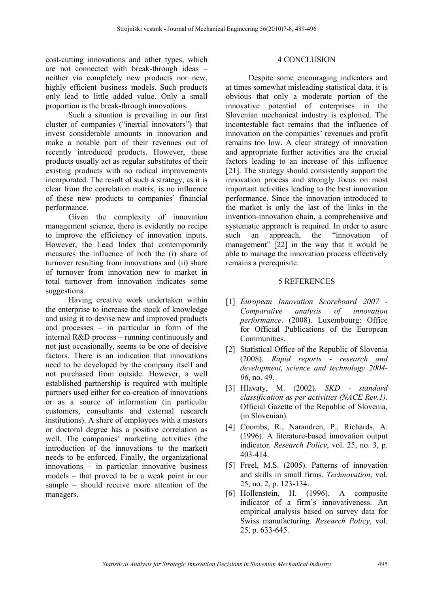cost-cutting innovations and other types, which are not connected with break-through ideas – neither via completely new products nor new, highly efficient business models. Such products only lead to little added value. Only a small proportion is the break-through innovations.

Such a situation is prevailing in our first cluster of companies ("inertial innovators") that invest considerable amounts in innovation and make a notable part of their revenues out of recently introduced products. However, these products usually act as regular substitutes of their existing products with no radical improvements incorporated. The result of such a strategy, as it is clear from the correlation matrix, is no influence of these new products to companies' financial performance.

Given the complexity of innovation management science, there is evidently no recipe to improve the efficiency of innovation inputs. However, the Lead Index that contemporarily measures the influence of both the (i) share of turnover resulting from innovations and (ii) share of turnover from innovation new to market in total turnover from innovation indicates some suggestions.

Having creative work undertaken within the enterprise to increase the stock of knowledge and using it to devise new and improved products and processes – in particular in form of the internal R&D process – running continuously and not just occasionally, seems to be one of decisive factors. There is an indication that innovations need to be developed by the company itself and not purchased from outside. However, a well established partnership is required with multiple partners used either for co-creation of innovations or as a source of information (in particular customers, consultants and external research institutions). A share of employees with a masters or doctoral degree has a positive correlation as well. The companies' marketing activities (the introduction of the innovations to the market) needs to be enforced. Finally, the organizational innovations – in particular innovative business models – that proved to be a weak point in our sample – should receive more attention of the managers.

#### 4 CONCLUSION

Despite some encouraging indicators and at times somewhat misleading statistical data, it is obvious that only a moderate portion of the innovative potential of enterprises in the Slovenian mechanical industry is exploited. The incontestable fact remains that the influence of innovation on the companies' revenues and profit remains too low. A clear strategy of innovation and appropriate further activities are the crucial factors leading to an increase of this influence [21]. The strategy should consistently support the innovation process and strongly focus on most important activities leading to the best innovation performance. Since the innovation introduced to the market is only the last of the links in the invention-innovation chain, a comprehensive and systematic approach is required. In order to asure such an approach the "innovation of management" [22] in the way that it would be able to manage the innovation process effectively remains a prerequisite.

#### 5 REFERENCES

- [1] *European Innovation Scoreboard 2007 Comparative analysis of innovation performance*. (2008). Luxembourg: Office for Official Publications of the European Communities.
- [2] Statistical Office of the Republic of Slovenia (2008). *Rapid reports - research and development, science and technology 2004- 06*, no. 49.
- [3] Hlavaty, M. (2002). *SKD standard classification as per activities (NACE Rev.1).* Official Gazette of the Republic of Slovenia*,* (in Slovenian).
- [4] Coombs, R., Narandren, P., Richards, A. (1996). A literature-based innovation output indicator. *Research Policy*, vol. 25, no. 3, p. 403-414.
- [5] Freel, M.S. (2005). Patterns of innovation and skills in small firms. *Technovation*, vol. 25, no. 2, p. 123-134.
- [6] Hollenstein, H. (1996). A composite indicator of a firm's innovativeness. An empirical analysis based on survey data for Swiss manufacturing. *Research Policy*, vol. 25, p. 633-645.